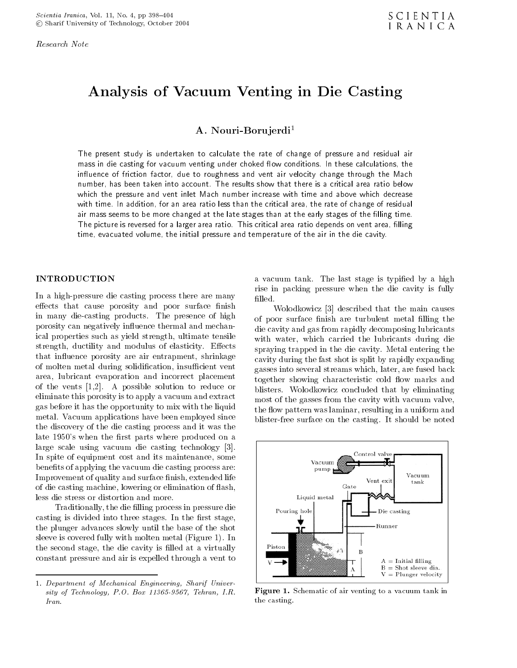Research Note

# Analysis of Vacuum Venting in Die Casting

## A. Nouri-Borujerdi<sup>1</sup>

The present study is undertaken to calculate the rate of change of pressure and residual air mass in die casting for vacuum venting under choked how conditions. In these calculations, the in
uence of friction factor, due to roughness and vent air velocity change through the Mach number, has been taken into account. The results show that there is a critical area ratio below which the pressure and vent inlet Mach number increase with time and above which decrease with time. In addition, for an area ratio less than the critical area, the rate of change of residual air mass seems to be more changed at the late stages than at the early stages of the lling time. The picture is reversed for a larger area ratio. This critical area ratio depends on vent area, lling time, evacuated volume, the initial pressure and temperature of the air in the die cavity.

## INTRODUCTION

In a high-pressure die casting process there are many effects that cause porosity and poor surface finish in many die-casting products. The presence of high porosity can negatively influence thermal and mechanical properties such as yield strength, ultimate tensile strength, ductility and modulus of elasticity. Effects that in
uence porosity are air entrapment, shrinkage of molten metal during solidification, insufficient vent area, lubricant evaporation and incorrect placement of the vents [1,2]. <sup>A</sup> possible solution to reduce or eliminate this porosity is to apply a vacuum and extract gas before it has the opportunity to mix with the liquid metal. Vacuum applications have been employed since the discovery of the die casting process and it was the late 1950's when the first parts where produced on a large scale using vacuum die casting technology [3]. In spite of equipment cost and its maintenance, some benefits of applying the vacuum die casting process are: Improvement of quality and surface finish, extended life of die casting machine, lowering or elimination of 
ash, less die stress or distortion and more.

Traditionally, the die filling process in pressure die casting is divided into three stages. In the first stage, the plunger advances slowly until the base of the shot sleeve is covered fully with molten metal (Figure 1). In the second stage, the die cavity is filled at a virtually constant pressure and air is expelled through a vent to

1. Department of Mechanical Engineering, Sharif University of Technology, P.O. Box 11365-9567, Tehran, I.R. Iran.

<sup>a</sup> vacuum tank. The last stage is typied by <sup>a</sup> high rise in packing pressure when the die cavity is fully

Wolodkowicz [3] described that the main causes of poor surface finish are turbulent metal filling the die cavity and gas from rapidly decomposing lubricants with water, which carried the lubricants during die spraying trapped in the die cavity. Metal entering the cavity during the fast shot is split by rapidly expanding gasses into several streams which, later, are fused back together showing characteristic cold flow marks and blisters. Wolodkowicz concluded that by eliminating most of the gasses from the cavity with vacuum valve, the flow pattern was laminar, resulting in a uniform and blister-free surface on the casting. It should be noted



Figure 1. Schematic of air venting to a vacuum tank in the casting.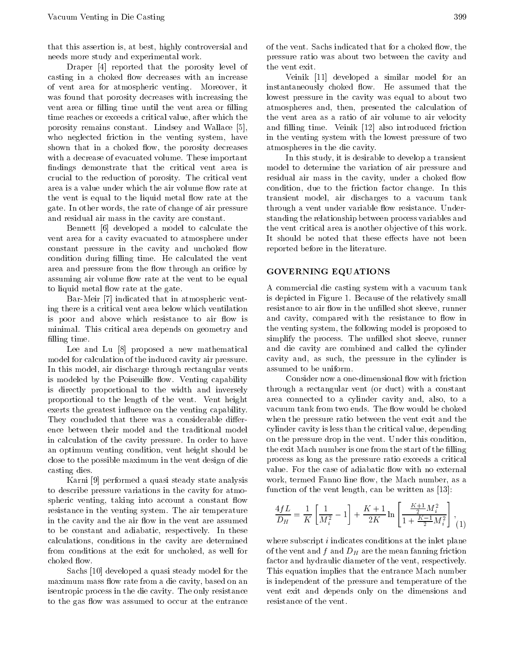that this assertion is, at best, highly controversial and needs more study and experimental work.

Draper [4] reported that the porosity level of casting in a choked flow decreases with an increase of vent area for atmospheric venting. Moreover, it was found that porosity decreases with increasing the vent area or filling time until the vent area or filling time reaches or exceeds a critical value, after which the porosity remains constant. Lindsey and Wallace [5], who neglected friction in the venting system, have shown that in a choked flow, the porosity decreases with a decrease of evacuated volume. These important findings demonstrate that the critical vent area is crucial to the reduction of porosity. The critical vent area is a value under which the air volume flow rate at the vent is equal to the liquid metal flow rate at the gate. In other words, the rate of change of air pressure and residual air mass in the cavity are constant.

Bennett [6] developed <sup>a</sup> model to calculate the vent area for a cavity evacuated to atmosphere under constant pressure in the cavity and unchoked flow condition during filling time. He calculated the vent area and pressure from the flow through an orifice by assuming air volume flow rate at the vent to be equal to liquid metal flow rate at the gate.

Bar-Meir [7] indicated that in atmospheric venting there is a critical vent area below which ventilation is poor and above which resistance to air flow is minimal. This critical area depends on geometry and filling time.

Lee and Lu [8] proposed <sup>a</sup> new mathematical model for calculation of the induced cavity air pressure. In this model, air discharge through rectangular vents is modeled by the Poiseuille flow. Venting capability is directly proportional to the width and inversely proportional to the length of the vent. Vent height exerts the greatest influence on the venting capability. They concluded that there was a considerable differin calculation of the cavity pressure. In order to have an optimum venting condition, vent height should be close to the possible maximum in the vent design of die casting dies.

Karni [9] performed a quasi steady state analysis to describe pressure variations in the cavity for atmospheric venting, taking into account a constant flow resistance in the venting system. The air temperature in the cavity and the air flow in the vent are assumed to be constant and adiabatic, respectively. In these calculations, conditions in the cavity are determined from conditions at the exit for unchoked, as well for choked flow.

Sachs [10] developed a quasi steady model for the maximum mass flow rate from a die cavity, based on an isentropic process in the die cavity. The only resistance to the gas flow was assumed to occur at the entrance

of the vent. Sachs indicated that for a choked flow, the pressure ratio was about two between the cavity and the vent exit.

Veinik [11] developed <sup>a</sup> similar model for an instantaneously choked flow. He assumed that the lowest pressure in the cavity was equal to about two atmospheres and, then, presented the calculation of the vent area as <sup>a</sup> ratio of air volume to air velocity and filling time. Veinik [12] also introduced friction in the venting system with the lowest pressure of two atmospheres in the die cavity.

In this study, it is desirable to develop a transient model to determine the variation of air pressure and residual air mass in the cavity, under a choked flow condition, due to the friction factor change. In this transient model, air discharges to <sup>a</sup> vacuum tank through a vent under variable flow resistance. Understanding the relationship between process variables and the vent critical area is another ob jective of this work. It should be noted that these effects have not been reported before in the literature.

#### GOVERNING EQUATIONS

<sup>A</sup> commercial die casting system with a vacuum tank is depicted in Figure 1. Because of the relatively small resistance to air flow in the unfilled shot sleeve, runner and cavity, compared with the resistance to flow in the venting system, the following model is proposed to simplify the process. The unfilled shot sleeve, runner and die cavity are combined and called the cylinder cavity and, as such, the pressure in the cylinder is assumed to be uniform.

Consider now a one-dimensional flow with friction through <sup>a</sup> rectangular vent (or duct) with <sup>a</sup> constant area connected to <sup>a</sup> cylinder cavity and, also, to <sup>a</sup> vacuum tank from two ends. The flow would be choked when the pressure ratio between the vent exit and the cylinder cavity is less than the critical value, depending on the pressure drop in the vent. Under this condition, the exit Mach number is one from the start of the filling process as long as the pressure ratio exceeds a critical value. For the case of adiabatic flow with no external work, termed Fanno line flow, the Mach number, as a function of the vent length, can be written as [13]:

$$
\frac{4fL}{D_H} = \frac{1}{K} \left[ \frac{1}{M_i^2} \quad 1 \right] + \frac{K+1}{2K} \ln \left[ \frac{\frac{K+1}{2} M_i^2}{1 + \frac{K-1}{2} M_i^2} \right],
$$
 (1)

where subscript *i* indicates conditions at the inlet plane of the vent and  $f$  and  $D_H$  are the mean fanning friction factor and hydraulic diameter of the vent, respectively. This equation implies that the entrance Mach number is independent of the pressure and temperature of the vent exit and depends only on the dimensions and resistance of the vent.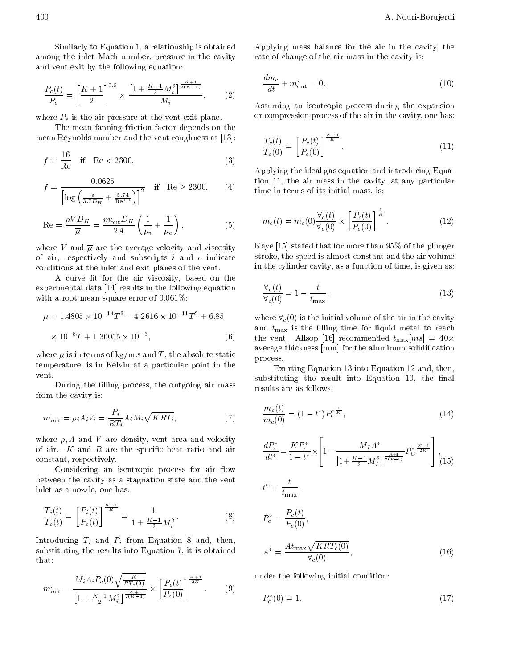Similarly to Equation 1, a relationship is obtained among the inlet Mach number, pressure in the cavity and vent exit by the following equation:

$$
\frac{P_c(t)}{P_e} = \left[\frac{K+1}{2}\right]^{0.5} \times \frac{\left[1 + \frac{K-1}{2} M_i^2\right]^{\frac{K+1}{2(K-1)}}}{M_i},\tag{2}
$$

where  $P_e$  is the air pressure at the vent exit plane.

The mean fanning friction factor depends on the mean Reynolds number and the vent roughness as [13]:

$$
f = \frac{16}{\text{Re}} \quad \text{if} \quad \text{Re} < 2300,
$$
\n(3)

$$
f = \frac{0.0625}{\left[ \log \left( \frac{\varepsilon}{3.7D_H} + \frac{5.74}{\text{Re}^{0.9}} \right) \right]^2} \quad \text{if} \quad \text{Re} \ge 2300, \qquad (4) \qquad \text{ti}
$$

$$
\text{Re} = \frac{\rho V D_H}{\overline{\mu}} = \frac{m_{\text{out}} D_H}{2A} \left( \frac{1}{\mu_i} + \frac{1}{\mu_e} \right),\tag{5}
$$

where V and  $\overline{\mu}$  are the average velocity and viscosity of air, respectively and subscripts  $i$  and  $e$  indicate conditions at the inlet and exit planes of the vent.

A curve fit for the air viscosity, based on the experimental data [14] results in the following equation with a root mean square error of 0.061%:

$$
\mu = 1.4805 \times 10^{-14} T^3 \quad 4.2616 \times 10^{-11} T^2 + 6.85
$$
\n
$$
\times 10^{-8} T + 1.36055 \times 10^{-6},
$$
\n(6)\n
$$
t
$$

where  $\mu$  is in terms of kg/m.s and T, the absolute static temperature, is in Kelvin at a particular point in the vent.

During the filling process, the outgoing air mass from the cavity is:

$$
m_{\text{out}} = \rho_i A_i V_i = \frac{P_i}{RT_i} A_i M_i \sqrt{KRT_i},\tag{7}
$$

where  $\rho$ , A and V are density, vent area and velocity of air.  $K$  and  $R$  are the specific heat ratio and air constant, respectively.

Considering an isentropic process for air flow between the cavity as a stagnation state and the vent inlet as a nozzle, one has:

$$
\frac{T_i(t)}{T_c(t)} = \left[\frac{P_i(t)}{P_c(t)}\right]^{\frac{K-1}{K}} = \frac{1}{1 + \frac{K-1}{2}M_i^2}.
$$
\n(8)

Introducing  $T_i$  and  $P_i$  from Equation 8 and, then, substituting the results into Equation 7, it is obtained that:

$$
m_{\text{out}} = \frac{M_i A_i P_c(0) \sqrt{\frac{K}{RT_c(0)}}}{\left[1 + \frac{K - 1}{2} M_i^2\right]^{\frac{K + 1}{2(K - 1)}}} \times \left[\frac{P_c(t)}{P_c(0)}\right]^{\frac{K + 1}{2K}}.\tag{9}
$$

Applying mass balance for the air in the cavity, the rate of change of the air mass in the cavity is:

$$
\frac{dm_c}{dt} + m_{\text{out}} = 0. \tag{10}
$$

Assuming an isentropic process during the expansion or compression process of the air in the cavity, one has:

$$
\frac{T_c(t)}{T_c(0)} = \left[\frac{P_c(t)}{P_c(0)}\right]^{\frac{K-1}{K}}.\tag{11}
$$

Applying the ideal gas equation and introducing Equation 11, the air mass in the cavity, at any particular time in terms of its initial mass, is:

$$
m_c(t) = m_c(0) \frac{\forall_c(t)}{\forall_c(0)} \times \left[ \frac{P_c(t)}{P_c(0)} \right]^{\frac{1}{K}}.
$$
 (12)

Kaye [15] stated that for more than 95% of the plunger stroke, the speed is almost constant and the air volume in the cylinder cavity, as a function of time, is given as:

$$
\frac{\forall_c(t)}{\forall_c(0)} = 1 \quad \frac{t}{t_{\text{max}}},\tag{13}
$$

where  $\forall$ <sub>c</sub>(0) is the initial volume of the air in the cavity and  $t_{\text{max}}$  is the filling time for liquid metal to reach the vent. Allsop [16] recommended  $t_{\text{max}}[ms] = 40 \times$ average thickness [mm] for the aluminum solidication process.

Exerting Equation 13 into Equation 12 and, then, substituting the result into Equation 10, the final results are as follows:

$$
\frac{m_c(t)}{m_c(0)} = (1 \t t^*) P_c^{\ast \frac{1}{K}},\t(14)
$$

$$
\frac{dP_c^*}{dt^*} = \frac{KP_c^*}{1 - t^*} \times \left[1 - \frac{M_I A^*}{\left[1 + \frac{K - 1}{2} M_I^2\right]^{\frac{K+1}{2(K-1)}}} P_C^*^{\frac{K-1}{2K}}\right],
$$
\n
$$
t^* = \frac{t}{t_{\text{max}}},
$$
\n
$$
P_c^* = \frac{P_c(t)}{P_c(0)},
$$
\n
$$
A^* = \frac{At_{\text{max}} \sqrt{KRT_c(0)}}{\forall_c(0)},
$$
\n(16)

under the following initial condition:

$$
P_c^*(0) = 1.
$$
\n(17)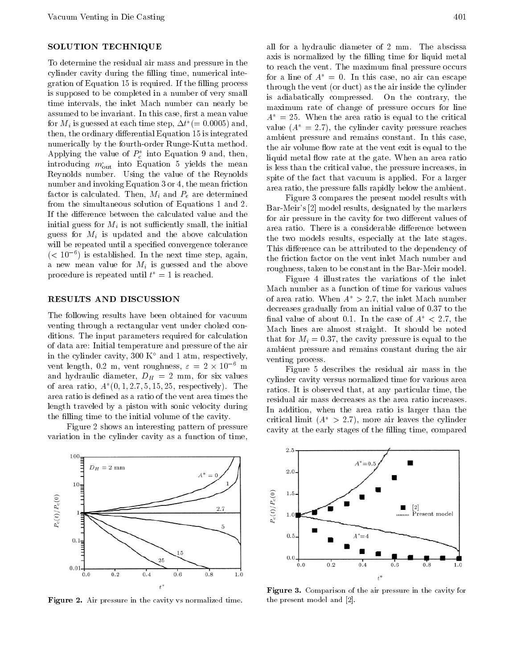## SOLUTION TECHNIQUE

To determine the residual air mass and pressure in the cylinder cavity during the filling time, numerical integration of Equation 15 is required. If the filling process is supposed to be completed in a number of very small time intervals, the inlet Mach number can nearly be assumed to be invariant. In this case, first a mean value for  $M_i$  is guessed at each time step,  $\Delta t$  (= 0.0005) and, then, the ordinary differential Equation 15 is integrated numerically by the fourth-order Runge-Kutta method. Applying the value of  $P_c$  -mto Equation 9 and, then, introducing  $m_{\text{out}}$  into Equation 5 yields the mean Reynolds number. Using the value of the Reynolds number and invoking Equation 3 or 4, the mean friction factor is calculated. Then,  $M_i$  and  $P_e$  are determined from the simultaneous solution of Equations 1 and 2. If the difference between the calculated value and the initial guess for  $M_i$  is not sufficiently small, the initial guess for  $M_i$  is updated and the above calculation will be repeated until a specified convergence tolerance (< 10 = ) is established. In the next time step, again, a new mean value for  $M_i$  is guessed and the above procedure is repeated until  $t^* = 1$  is reached.

#### RESULTS AND DISCUSSION

The following results have been obtained for vacuum venting through a rectangular vent under choked conditions. The input parameters required for calculation of data are: Initial temperature and pressure of the air in the cylinder cavity, 300  $K^{\circ}$  and 1 atm, respectively, vent length, 0.2 m, vent roughness,  $\varepsilon = 2 \times 10$  m and hydraulic diameter,  $D_H = 2$  mm, for six values of area ratio,  $A(0,1,2,1,5,15,25,$  respectively). The  $\mathcal{L}_{\text{max}}$ area ratio is defined as a ratio of the vent area times the length traveled by a piston with sonic velocity during the filling time to the initial volume of the cavity.

Figure 2 shows an interesting pattern of pressure variation in the cylinder cavity as a function of time,



Figure 2. Air pressure in the cavity vs normalized time.

all for <sup>a</sup> hydraulic diameter of <sup>2</sup> mm. The abscissa axis is normalized by the filling time for liquid metal to reach the vent. The maximum final pressure occurs for a line of  $A^* = 0$ . In this case, no air can escape through the vent (or duct) as the air inside the cylinder is adiabatically compressed. On the contrary, the maximum rate of change of pressure occurs for line  $A^* = 25$ . When the area ratio is equal to the critical value  $(A^* = 2.7)$ , the cylinder cavity pressure reaches ambient pressure and remains constant. In this case, the air volume flow rate at the vent exit is equal to the liquid metal flow rate at the gate. When an area ratio is less than the critical value, the pressure increases, in spite of the fact that vacuum is applied. For a larger area ratio, the pressure falls rapidly below the ambient.

Figure 3 compares the present model results with Bar-Meir's [2] model results, designated by the markers for air pressure in the cavity for two different values of area ratio. There is a considerable difference between the two models results, especially at the late stages. This difference can be attributed to the dependency of the friction factor on the vent inlet Mach number and roughness, taken to be constant in the Bar-Meir model.

Figure <sup>4</sup> illustrates the variations of the inlet Mach number as a function of time for various values of area ratio. When  $A^* > 2.7$ , the inlet Mach number decreases gradually from an initial value of 0.37 to the final value of about 0.1. In the case of  $A^* < 2.7$ , the Mach lines are almost straight. It should be noted that for  $M_i = 0.37$ , the cavity pressure is equal to the ambient pressure and remains constant during the air venting process.

Figure <sup>5</sup> describes the residual air mass in the cylinder cavity versus normalized time for various area ratios. It is observed that, at any particular time, the residual air mass decreases as the area ratio increases. In addition, when the area ratio is larger than the critical limit  $(A^* > 2.7)$ , more air leaves the cylinder cavity at the early stages of the filling time, compared



Figure 3. Comparison of the air pressure in the cavity for the present model and [2].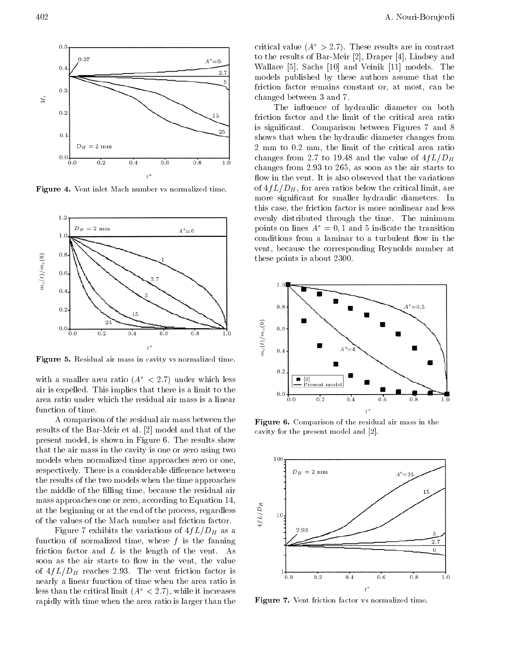

Figure 4. Vent inlet Mach number vs normalized time.



Figure 5. Residual air mass in cavity vs normalized time.

with a smaller area ratio  $(A^* < 2.7)$  under which less air is expelled. This implies that there is a limit to the area ratio under which the residual air mass is a linear function of time.

<sup>A</sup> comparison of the residual air mass between the results of the Bar-Meir et al. [2] model and that of the present model, is shown in Figure 6. The results show that the air mass in the cavity is one or zero using two models when normalized time approaches zero or one, respectively. There is a considerable difference between the results of the two models when the time approaches the middle of the filling time, because the residual air mass approaches one or zero, according to Equation 14, at the beginning or at the end of the process, regardless<br>of the values of the Mach number and friction factor. of the values of the Mach number and friction factor.

Figure 7 exhibits the variations of  $4fL/D<sub>H</sub>$  as a function of normalized time, where  $f$  is the fanning friction factor and  $L$  is the length of the vent. As soon as the air starts to flow in the vent, the value of  $4fL/D_H$  reaches 2.93. The vent friction factor is nearly a linear function of time when the area ratio is less than the critical limit  $(A^* < 2.7)$ , while it increases rapidly with time when the area ratio is larger than the critical value  $(A^* > 2.7)$ . These results are in contrast to the results of Bar-Meir [2], Draper [4], Lindsey and Wallace [5], Sachs [10] and Veinik [11] models. The models published by these authors assume that the friction factor remains constant or, at most, can be changed between 3 and 7.

The influence of hydraulic diameter on both friction factor and the limit of the critical area ratio is signicant. Comparison between Figures <sup>7</sup> and <sup>8</sup> shows that when the hydraulic diameter changes from <sup>2</sup> mm to 0.2 mm, the limit of the critical area ratio changes from 2.7 to 19.48 and the value of  $4fL/D<sub>H</sub>$ changes from 2.93 to 265, as soon as the air starts to flow in the vent. It is also observed that the variations of  $4fL/D_H$ , for area ratios below the critical limit, are more signicant for smaller hydraulic diameters. In this case, the friction factor is more nonlinear and less evenly distributed through the time. The minimum points on lines  $A^* = 0, 1$  and 5 indicate the transition conditions from a laminar to a turbulent flow in the vent, because the corresponding Reynolds number at these points is about 2300.



Figure 6. Comparison of the residual air mass in the cavity for the present model and [2].



Figure 7. Vent friction factor vs normalized time.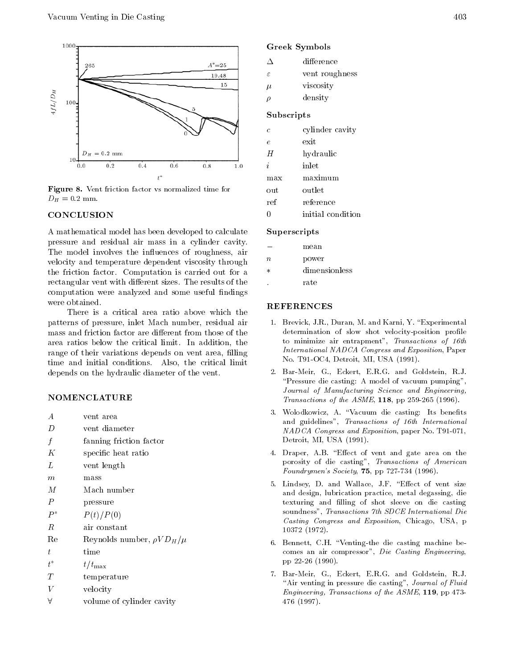

Figure 8. Vent friction factor vs normalized time for  $D_H = 0.2$  mm.

## CONCLUSION

<sup>A</sup> mathematical model has been developed to calculate pressure and residual air mass in <sup>a</sup> cylinder cavity. The model involves the influences of roughness, air  $\frac{n}{2}$ velocity and temperature dependent viscosity through the friction factor. Computation is carried out for a rectangular vent with different sizes. The results of the computation were analyzed and some useful findings were obtained.

There is <sup>a</sup> critical area ratio above which the patterns of pressure, inlet Mach number, residual air mass and friction factor are different from those of the area ratios below the critical limit. In addition, the range of their variations depends on vent area, filling time and initial conditions. Also, the critical limit depends on the hydraulic diameter of the vent.

### NOMENCLATURE

- 
- $\overline{D}$ vent diameter
- $f$  fanning friction factor
- $K$  specific heat ratio
- $L$  vent length
- mass  $\overline{m}$
- $M$  Mach number
- P pressure
- $P^*$   $P(t)/P(0)$
- $\boldsymbol{R}$ air constant
- Re Reynolds number,  $\rho V D_H/\mu$
- $\ddot{t}$ time
- $t^*$  $t/t_{\rm max}$
- $T$ temperature
- $V$  velocity
- $\forall$  volume of cylinder cavity

## Greek Symbols

|            | difference     |  |
|------------|----------------|--|
| $\epsilon$ | vent roughness |  |
| $\mu$      | viscosity      |  |

 $\rho$  density

### Subscripts

| C | cylinder cavity |  |
|---|-----------------|--|
|   |                 |  |

- exit
- H hydraulic
- $i$  inlet
- 
- $\alpha$ utlet out
- ref reference
- $\overline{0}$ initial condition

#### Superscripts

mean

- n power
- dimensionless
- rate

## REFERENCES

- 1. Brevick, J.R., Duran, M. and Karni, Y. "Experimental determination of slow shot velocity-position profile to minimize air entrapment", Transactions of 16th International NADCA Congress and Exposition, Paper No. T91-OC4, Detroit, MI, USA (1991).
- 2. Bar-Meir, G., Eckert, E.R.G. and Goldstein, R.J. "Pressure die casting: A model of vacuum pumping", Journal of Manufacturing Science and Engineering, Transactions of the ASME, 118, pp 259-265 (1996).
- 3. Wolodkowicz, A. "Vacuum die casting: Its benefits and guidelines", Transactions of 16th International NADCA Congress and Exposition, paper No. T91-071, Detroit, MI, USA (1991).
- 4. Draper, A.B. "Effect of vent and gate area on the porosity of die casting", Transactions of American  $Foundrymen's Society, 75, pp 727-734 (1996).$
- 5. Lindsey, D. and Wallace, J.F. "Effect of vent size and design, lubrication practice, metal degassing, die texturing and filling of shot sleeve on die casting soundness", Transactions 7th SDCE International Die Casting Congress and Exposition, Chicago, USA, <sup>p</sup> <sup>10372</sup> (1972).
- 6. Bennett, C.H. "Venting-the die casting machine becomes an air compressor", Die Casting Engineering, pp 22-26 (1990).
- 7. Bar-Meir, G., Eckert, E.R.G. and Goldstein, R.J. "Air venting in pressure die casting", Journal of Fluid Engineering, Transactions of the ASME, 119, pp 473- <sup>476</sup> (1997).